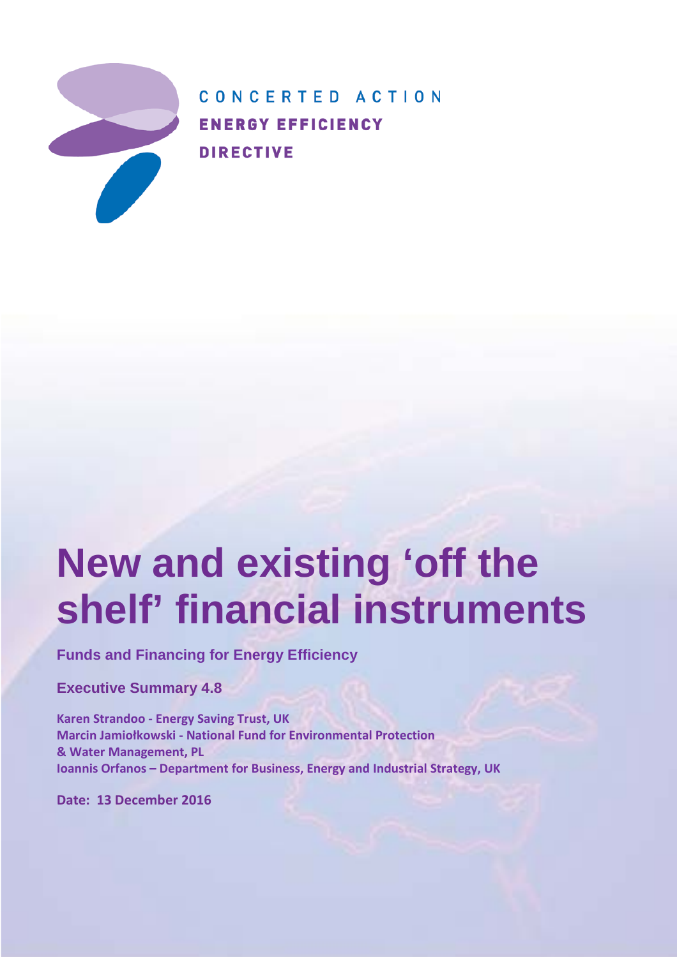

CONCERTED ACTION **ENERGY EFFICIENCY DIRECTIVE** 

# **New and existing 'off the shelf' financial instruments**

**Funds and Financing for Energy Efficiency**

**Executive Summary 4.8**

**Karen Strandoo - Energy Saving Trust, UK Marcin Jamiołkowski - National Fund for Environmental Protection & Water Management, PL Ioannis Orfanos – Department for Business, Energy and Industrial Strategy, UK**

**Date: 13 December 2016**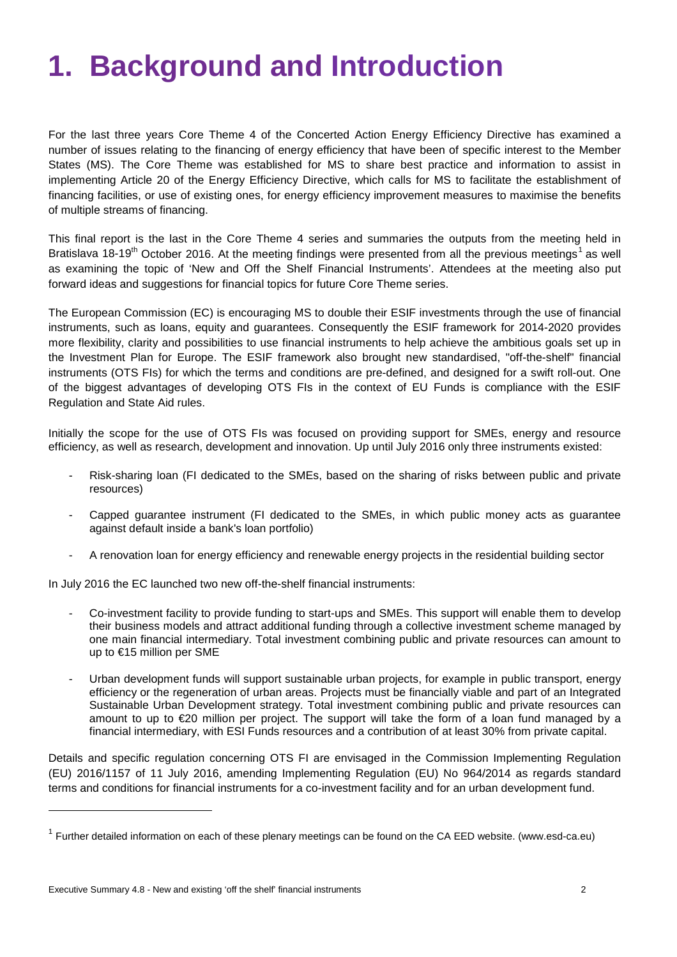## **1. Background and Introduction**

For the last three years Core Theme 4 of the Concerted Action Energy Efficiency Directive has examined a number of issues relating to the financing of energy efficiency that have been of specific interest to the Member States (MS). The Core Theme was established for MS to share best practice and information to assist in implementing Article 20 of the Energy Efficiency Directive, which calls for MS to facilitate the establishment of financing facilities, or use of existing ones, for energy efficiency improvement measures to maximise the benefits of multiple streams of financing.

This final report is the last in the Core Theme 4 series and summaries the outputs from the meeting held in Bratislava [1](#page-1-0)8-19<sup>th</sup> October 2016. At the meeting findings were presented from all the previous meetings<sup>1</sup> as well as examining the topic of 'New and Off the Shelf Financial Instruments'. Attendees at the meeting also put forward ideas and suggestions for financial topics for future Core Theme series.

The European Commission (EC) is encouraging MS to double their [ESIF](https://cohesiondata.ec.europa.eu/funds) investments through the use of [financial](https://www.fi-compass.eu/sites/default/files/publications/ESIF-factsheet-FI-products.pdf)  [instruments, such as loans, equity and guarantees.](https://www.fi-compass.eu/sites/default/files/publications/ESIF-factsheet-FI-products.pdf) Consequently the ESIF [framework for 2014-2020](http://eur-lex.europa.eu/legal-content/EN/TXT/PDF/?uri=CELEX:32013R1303&from=EN) provides more flexibility, clarity and possibilities to use financial instruments to help achieve the ambitious goals set up in the Investment Plan for Europe. The ESIF framework also brought new standardised, "off-the-shelf" financial instruments (OTS FIs) for which the terms and conditions are pre-defined, and designed for a swift roll-out. One of the biggest advantages of developing OTS FIs in the context of EU Funds is compliance with the ESIF Regulation and State Aid rules.

Initially the scope for the use of OTS FIs was focused on providing support for SMEs, energy and resource efficiency, as well as research, development and innovation. Up until July 2016 only three instruments existed:

- Risk-sharing loan (FI dedicated to the SMEs, based on the sharing of risks between public and private resources)
- Capped guarantee instrument (FI dedicated to the SMEs, in which public money acts as guarantee against default inside a bank's loan portfolio)
- A renovation loan for energy efficiency and renewable energy projects in the residential building sector

In July 2016 the [EC launched two new off-the-shelf financial instruments:](http://ec.europa.eu/regional_policy/sources/docoffic/2014/prop_fi_urban_dev_en.pdf)

- Co-investment facility to provide funding to start-ups and SMEs. This support will enable them to develop their business models and attract additional funding through a collective investment scheme managed by one main financial intermediary. Total investment combining public and private resources can amount to up to €15 million per SME
- Urban development funds will support sustainable urban projects, for example in public transport, energy efficiency or the regeneration of urban areas. Projects must be financially viable and part of an [Integrated](http://ec.europa.eu/regional_policy/sources/docgener/informat/2014/urban_en.pdf)  [Sustainable Urban Development](http://ec.europa.eu/regional_policy/sources/docgener/informat/2014/urban_en.pdf) strategy. Total investment combining public and private resources can amount to up to €20 million per project. The support will take the form of a loan fund managed by a financial intermediary, with ESI Funds resources and a contribution of at least 30% from private capital.

Details and specific regulation concerning OTS FI are envisaged in the Commission Implementing Regulation (EU) 2016/1157 of 11 July 2016, amending Implementing Regulation (EU) No 964/2014 as regards standard terms and conditions for financial instruments for a co-investment facility and for an urban development fund.

j

<span id="page-1-0"></span> $1$  Further detailed information on each of these plenary meetings can be found on the CA EED website. (www.esd-ca.eu)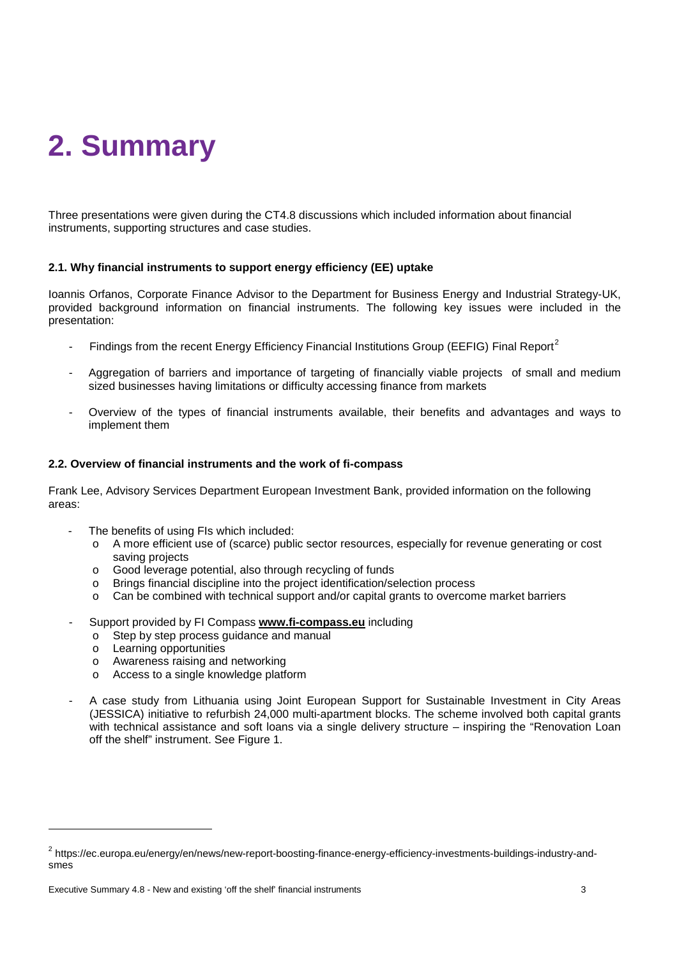## **2. Summary**

Three presentations were given during the CT4.8 discussions which included information about financial instruments, supporting structures and case studies.

### **2.1. Why financial instruments to support energy efficiency (EE) uptake**

Ioannis Orfanos, Corporate Finance Advisor to the Department for Business Energy and Industrial Strategy-UK, provided background information on financial instruments. The following key issues were included in the presentation:

- Findings from the recent Energy Efficiency Financial Institutions Group (EEFIG) Final Report<sup>[2](#page-2-0)</sup>
- Aggregation of barriers and importance of targeting of financially viable projects of small and medium sized businesses having limitations or difficulty accessing finance from markets
- Overview of the types of financial instruments available, their benefits and advantages and ways to implement them

#### **2.2. Overview of financial instruments and the work of fi-compass**

Frank Lee, Advisory Services Department European Investment Bank, provided information on the following areas:

- The benefits of using FIs which included:
	- o A more efficient use of (scarce) public sector resources, especially for revenue generating or cost saving projects
	- $\circ$  Good leverage potential, also through recycling of funds<br>  $\circ$  Brings financial discipline into the project identification/se
	- Brings financial discipline into the project identification/selection process
	- Can be combined with technical support and/or capital grants to overcome market barriers
- Support provided by FI Compass **[www.fi-compass.eu](http://www.fi-compass.eu/)** including
	- o Step by step process guidance and manual
	- o Learning opportunities

j

- o Awareness raising and networking
- o Access to a single knowledge platform
- A case study from Lithuania using Joint European Support for Sustainable Investment in City Areas (JESSICA) initiative to refurbish 24,000 multi-apartment blocks. The scheme involved both capital grants with technical assistance and soft loans via a single delivery structure – inspiring the "Renovation Loan off the shelf" instrument. See Figure 1.

<span id="page-2-0"></span><sup>2</sup> https://ec.europa.eu/energy/en/news/new-report-boosting-finance-energy-efficiency-investments-buildings-industry-andsmes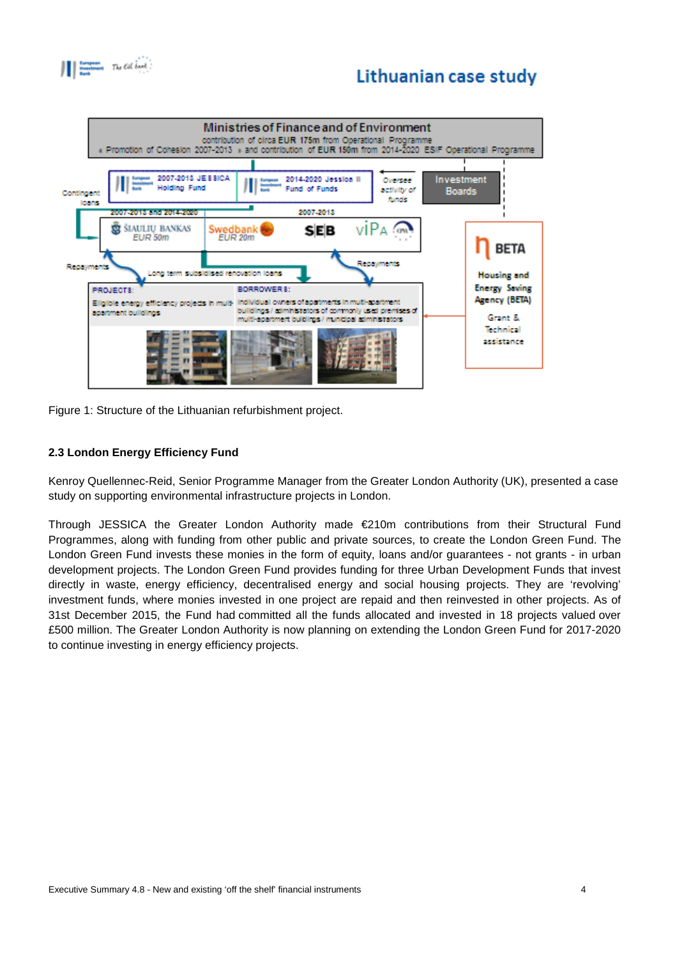$\begin{tabular}{|c|c|c|c|} \hline & Lemma & The **col** is set. \end{tabular}$ 

## Lithuanian case study



Figure 1: Structure of the Lithuanian refurbishment project.

## **2.3 London Energy Efficiency Fund**

Kenroy Quellennec-Reid, Senior Programme Manager from the Greater London Authority (UK), presented a case study on supporting environmental infrastructure projects in London.

Through JESSICA the Greater London Authority made €210m contributions from their Structural Fund Programmes, along with funding from other public and private sources, to create the London Green Fund. The London Green Fund invests these monies in the form of equity, loans and/or guarantees - not grants - in urban development projects. The London Green Fund provides funding for three Urban Development Funds that invest directly in waste, energy efficiency, decentralised energy and social housing projects. They are 'revolving' investment funds, where monies invested in one project are repaid and then reinvested in other projects. As of 31st December 2015, the Fund had committed all the funds allocated and invested in 18 projects valued over £500 million. The Greater London Authority is now planning on extending the London Green Fund for 2017-2020 to continue investing in energy efficiency projects.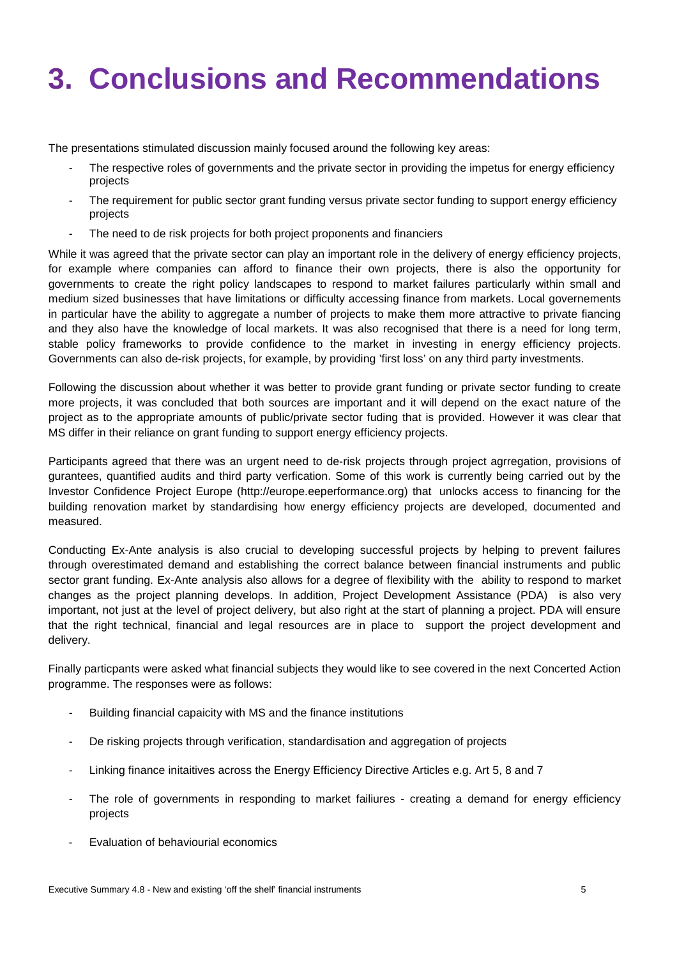## **3. Conclusions and Recommendations**

The presentations stimulated discussion mainly focused around the following key areas:

- The respective roles of governments and the private sector in providing the impetus for energy efficiency projects
- The requirement for public sector grant funding versus private sector funding to support energy efficiency projects
- The need to de risk projects for both project proponents and financiers

While it was agreed that the private sector can play an important role in the delivery of energy efficiency projects, for example where companies can afford to finance their own projects, there is also the opportunity for governments to create the right policy landscapes to respond to market failures particularly within small and medium sized businesses that have limitations or difficulty accessing finance from markets. Local governements in particular have the ability to aggregate a number of projects to make them more attractive to private fiancing and they also have the knowledge of local markets. It was also recognised that there is a need for long term, stable policy frameworks to provide confidence to the market in investing in energy efficiency projects. Governments can also de-risk projects, for example, by providing 'first loss' on any third party investments.

Following the discussion about whether it was better to provide grant funding or private sector funding to create more projects, it was concluded that both sources are important and it will depend on the exact nature of the project as to the appropriate amounts of public/private sector fuding that is provided. However it was clear that MS differ in their reliance on grant funding to support energy efficiency projects.

Participants agreed that there was an urgent need to de-risk projects through project agrregation, provisions of gurantees, quantified audits and third party verfication. Some of this work is currently being carried out by the Investor Confidence Project Europe (http://europe.eeperformance.org) that unlocks access to financing for the building renovation market by standardising how energy efficiency projects are developed, documented and measured.

Conducting Ex-Ante analysis is also crucial to developing successful projects by helping to prevent failures through overestimated demand and establishing the correct balance between financial instruments and public sector grant funding. Ex-Ante analysis also allows for a degree of flexibility with the ability to respond to market changes as the project planning develops. In addition, Project Development Assistance (PDA) is also very important, not just at the level of project delivery, but also right at the start of planning a project. PDA will ensure that the right technical, financial and legal resources are in place to support the project development and delivery.

Finally particpants were asked what financial subjects they would like to see covered in the next Concerted Action programme. The responses were as follows:

- Building financial capaicity with MS and the finance institutions
- De risking projects through verification, standardisation and aggregation of projects
- Linking finance initaitives across the Energy Efficiency Directive Articles e.g. Art 5, 8 and 7
- The role of governments in responding to market failiures creating a demand for energy efficiency projects
- Evaluation of behaviourial economics